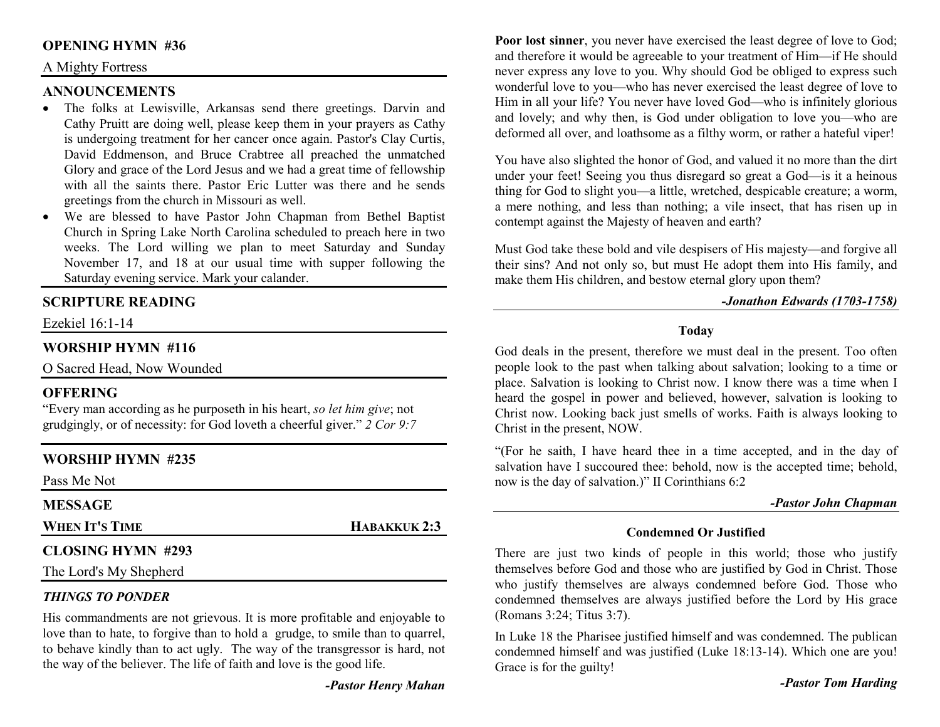#### **OPENING HYMN #36**

#### A Mighty Fortress

#### **ANNOUNCEMENTS**

- The folks at Lewisville, Arkansas send there greetings. Darvin and •Cathy Pruitt are doing well, please keep them in your prayers as Cathy is undergoing treatment for her cancer once again. Pastor's Clay Curtis, David Eddmenson, and Bruce Crabtree all preached the unmatched Glory and grace of the Lord Jesus and we had a great time of fellowship with all the saints there. Pastor Eric Lutter was there and he sends greetings from the church in Missouri as well.
- We are blessed to have Pastor John Chapman from Bethel Baptist Church in Spring Lake North Carolina scheduled to preach here in two weeks. The Lord willing we plan to meet Saturday and Sunday November 17, and 18 at our usual time with supper following the Saturday evening service. Mark your calander.

#### **SCRIPTURE READING**

Ezekiel 16:1-14

#### **WORSHIP HYMN #116**

O Sacred Head, Now Wounded

#### **OFFERING**

 "Every man according as he purposeth in his heart, *so let him give*; not grudgingly, or of necessity: for God loveth a cheerful giver." *2 Cor 9:7*

#### **WORSHIP HYMN #235**

Pass Me Not

#### **MESSAGE**

**WHEN IT'S TIME**

#### **CLOSING HYMN #293**

The Lord's My Shepherd

#### *THINGS TO PONDER*

 His commandments are not grievous. It is more profitable and enjoyable to love than to hate, to forgive than to hold a grudge, to smile than to quarrel, to behave kindly than to act ugly. The way of the transgressor is hard, not the way of the believer. The life of faith and love is the good life.

**HABAKKUK 2:3** 

**Poor lost sinner**, you never have exercised the least degree of love to God; and therefore it would be agreeable to your treatment of Him—if He should never express any love to you. Why should God be obliged to express such wonderful love to you—who has never exercised the least degree of love to Him in all your life? You never have loved God—who is infinitely glorious and lovely; and why then, is God under obligation to love you—who are deformed all over, and loathsome as a filthy worm, or rather a hateful viper!

You have also slighted the honor of God, and valued it no more than the dirt under your feet! Seeing you thus disregard so great a God—is it a heinous thing for God to slight you—a little, wretched, despicable creature; a worm, a mere nothing, and less than nothing; a vile insect, that has risen up in contempt against the Majesty of heaven and earth?

Must God take these bold and vile despisers of His majesty—and forgive all their sins? And not only so, but must He adopt them into His family, and make them His children, and bestow eternal glory upon them?

#### *-Jonathon Edwards (1703-1758)*

#### **Today**

God deals in the present, therefore we must deal in the present. Too often people look to the past when talking about salvation; looking to a time or place. Salvation is looking to Christ now. I know there was a time when I heard the gospel in power and believed, however, salvation is looking to Christ now. Looking back just smells of works. Faith is always looking to Christ in the present, NOW.

"(For he saith, I have heard thee in a time accepted, and in the day of salvation have I succoured thee: behold, now is the accepted time; behold, now is the day of salvation.)" II Corinthians 6:2

#### *-Pastor John Chapman*

#### **Condemned Or Justified**

There are just two kinds of people in this world; those who justify themselves before God and those who are justified by God in Christ. Those who justify themselves are always condemned before God. Those who condemned themselves are always justified before the Lord by His grace (Romans 3:24; Titus 3:7).

In Luke 18 the Pharisee justified himself and was condemned. The publican condemned himself and was justified (Luke 18:13-14). Which one are you! Grace is for the guilty!